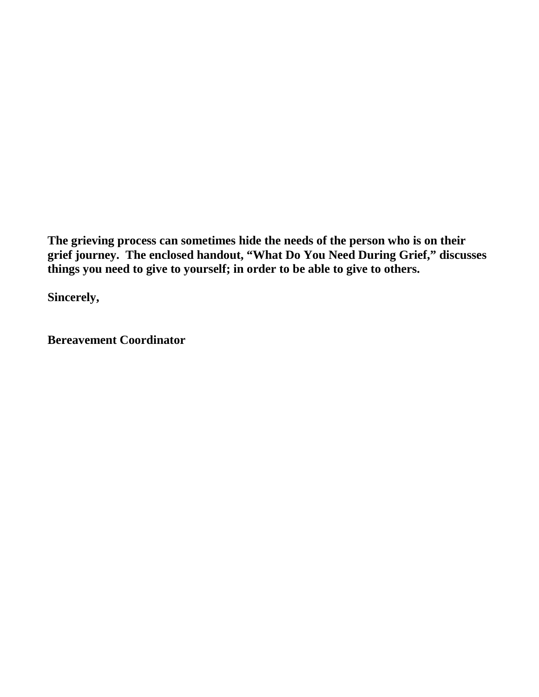**The grieving process can sometimes hide the needs of the person who is on their grief journey. The enclosed handout, "What Do You Need During Grief," discusses things you need to give to yourself; in order to be able to give to others.**

**Sincerely,**

**Bereavement Coordinator**